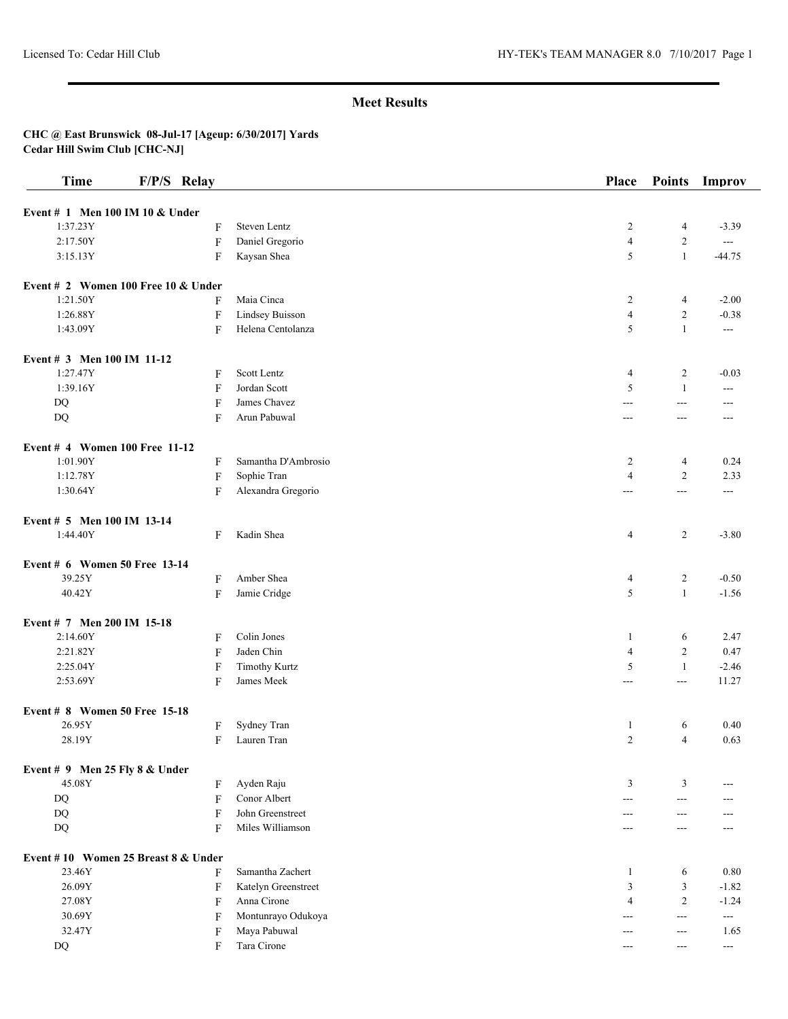| <b>Time</b>                         | F/P/S Relay |                           |                      | Place          | <b>Points</b>  | Improv                   |
|-------------------------------------|-------------|---------------------------|----------------------|----------------|----------------|--------------------------|
| Event # 1 Men 100 IM 10 & Under     |             |                           |                      |                |                |                          |
| 1:37.23Y                            |             | F                         | Steven Lentz         | 2              | 4              | $-3.39$                  |
| 2:17.50Y                            |             | $\rm F$                   | Daniel Gregorio      | $\overline{4}$ | $\overline{c}$ | $\overline{a}$           |
| 3:15.13Y                            |             | F                         | Kaysan Shea          | 5              | $\mathbf{1}$   | $-44.75$                 |
|                                     |             |                           |                      |                |                |                          |
| Event # 2 Women 100 Free 10 & Under |             |                           |                      |                |                |                          |
| 1:21.50Y                            |             | F                         | Maia Cinca           | 2              | 4              | $-2.00$                  |
| 1:26.88Y                            |             | F                         | Lindsey Buisson      | $\overline{4}$ | $\overline{c}$ | $-0.38$                  |
| 1:43.09Y                            |             | F                         | Helena Centolanza    | 5              | $\mathbf{1}$   | $\overline{a}$           |
| Event # 3 Men 100 IM 11-12          |             |                           |                      |                |                |                          |
| 1:27.47Y                            |             | F                         | Scott Lentz          | $\overline{4}$ | $\overline{c}$ | $-0.03$                  |
| 1:39.16Y                            |             | F                         | Jordan Scott         | 5              | 1              | ---                      |
| $\rm DQ$                            |             | F                         | James Chavez         | $---$          | $\overline{a}$ | $---$                    |
| DQ                                  |             | F                         | Arun Pabuwal         | ---            | $\overline{a}$ | $---$                    |
|                                     |             |                           |                      |                |                |                          |
| Event # 4 Women 100 Free 11-12      |             |                           |                      |                |                |                          |
| 1:01.90Y                            |             | F                         | Samantha D'Ambrosio  | 2              | 4              | 0.24                     |
| 1:12.78Y                            |             | $\boldsymbol{\mathrm{F}}$ | Sophie Tran          | $\overline{4}$ | $\overline{c}$ | 2.33                     |
| 1:30.64Y                            |             | F                         | Alexandra Gregorio   | ---            | $\overline{a}$ | ---                      |
| Event # 5 Men 100 IM 13-14          |             |                           |                      |                |                |                          |
| 1:44.40Y                            |             | F                         | Kadin Shea           | $\overline{4}$ | $\overline{c}$ | $-3.80$                  |
| Event # 6 Women 50 Free 13-14       |             |                           |                      |                |                |                          |
| 39.25Y                              |             | F                         | Amber Shea           | 4              | $\overline{c}$ | $-0.50$                  |
| 40.42Y                              |             | F                         | Jamie Cridge         | 5              | $\mathbf{1}$   | $-1.56$                  |
|                                     |             |                           |                      |                |                |                          |
| Event # 7 Men 200 IM 15-18          |             |                           |                      |                |                |                          |
| 2:14.60Y                            |             | F                         | Colin Jones          | -1             | 6              | 2.47                     |
| 2:21.82Y                            |             | F                         | Jaden Chin           | $\overline{4}$ | $\overline{c}$ | 0.47                     |
| 2:25.04Y                            |             | F                         | <b>Timothy Kurtz</b> | 5              | 1              | $-2.46$                  |
| 2:53.69Y                            |             | F                         | James Meek           | ---            | $\overline{a}$ | 11.27                    |
| Event # 8 Women 50 Free 15-18       |             |                           |                      |                |                |                          |
| 26.95Y                              |             | F                         | Sydney Tran          | -1             | 6              | 0.40                     |
| 28.19Y                              |             | F                         | Lauren Tran          | 2              | $\overline{4}$ | 0.63                     |
| Event $# 9$ Men 25 Fly 8 & Under    |             |                           |                      |                |                |                          |
| 45.08Y                              |             | F                         | Ayden Raju           | 3              | 3              | ---                      |
| DQ                                  |             | F                         | Conor Albert         | $\overline{a}$ | $---$          | ---                      |
| DQ                                  |             | F                         | John Greenstreet     | $---$          | ---            |                          |
| $\rm DQ$                            |             | F                         | Miles Williamson     | ---            | $---$          |                          |
|                                     |             |                           |                      |                |                |                          |
| Event #10 Women 25 Breast 8 & Under |             |                           |                      |                |                |                          |
| 23.46Y                              |             | F                         | Samantha Zachert     | -1             | 6              | 0.80                     |
| 26.09Y                              |             | F                         | Katelyn Greenstreet  | $\mathfrak{Z}$ | 3              | $-1.82$                  |
| 27.08Y                              |             | F                         | Anna Cirone          | $\overline{4}$ | $\overline{c}$ | $-1.24$                  |
| 30.69Y                              |             | F                         | Montunrayo Odukoya   | $---$          | $---$          | $\sim$ $\sim$            |
| 32.47Y                              |             | F                         | Maya Pabuwal         | $---$          | $---$          | 1.65                     |
| DQ                                  |             | F                         | Tara Cirone          | ---            | $---$          | $\overline{\phantom{a}}$ |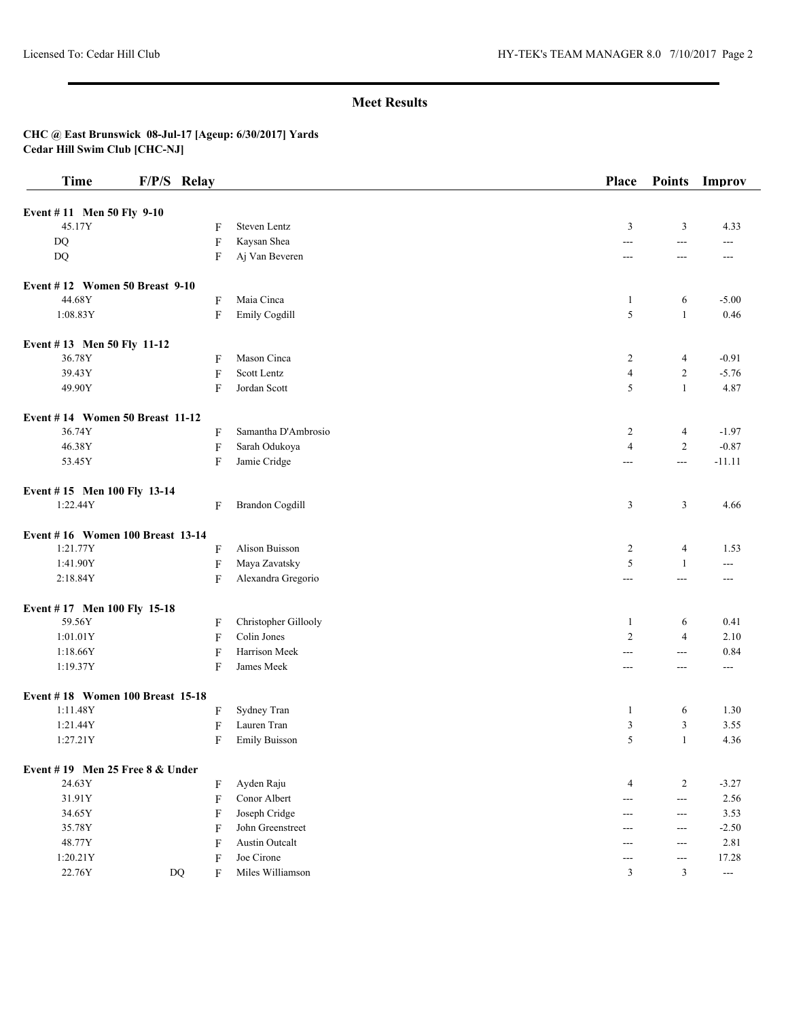| <b>Time</b>                      | F/P/S Relay               |                        | <b>Place</b>     | <b>Points</b>  | Improv              |
|----------------------------------|---------------------------|------------------------|------------------|----------------|---------------------|
| Event #11 Men 50 Fly 9-10        |                           |                        |                  |                |                     |
| 45.17Y                           | F                         | Steven Lentz           | $\mathfrak{Z}$   | 3              | 4.33                |
| DQ                               | F                         | Kaysan Shea            | $\overline{a}$   | $ -$           | ---                 |
| <b>DQ</b>                        | F                         | Aj Van Beveren         | ---              | $\overline{a}$ | $---$               |
| Event #12 Women 50 Breast 9-10   |                           |                        |                  |                |                     |
| 44.68Y                           | F                         | Maia Cinca             | $\mathbf{1}$     | 6              | $-5.00$             |
| 1:08.83Y                         | F                         | Emily Cogdill          | 5                | $\mathbf{1}$   | 0.46                |
| Event #13 Men 50 Fly 11-12       |                           |                        |                  |                |                     |
| 36.78Y                           | F                         | Mason Cinca            | 2                | 4              | $-0.91$             |
| 39.43Y                           | F                         | Scott Lentz            | $\overline{4}$   | $\overline{c}$ | $-5.76$             |
| 49.90Y                           | F                         | Jordan Scott           | 5                | $\mathbf{1}$   | 4.87                |
| Event #14 Women 50 Breast 11-12  |                           |                        |                  |                |                     |
| 36.74Y                           | F                         | Samantha D'Ambrosio    | $\overline{c}$   | 4              | $-1.97$             |
| 46.38Y                           | F                         | Sarah Odukoya          | $\overline{4}$   | $\overline{2}$ | $-0.87$             |
| 53.45Y                           | F                         | Jamie Cridge           | $---$            | $--$           | $-11.11$            |
| Event #15 Men 100 Fly 13-14      |                           |                        |                  |                |                     |
| 1:22.44Y                         | F                         | <b>Brandon Cogdill</b> | 3                | 3              | 4.66                |
| Event #16 Women 100 Breast 13-14 |                           |                        |                  |                |                     |
| 1:21.77Y                         | F                         | Alison Buisson         | $\boldsymbol{2}$ | $\overline{4}$ | 1.53                |
| 1:41.90Y                         | $\boldsymbol{\mathrm{F}}$ | Maya Zavatsky          | 5                | $\mathbf{1}$   | $---$               |
| 2:18.84Y                         | F                         | Alexandra Gregorio     | $\sim$ $\sim$    | $--$           | $---$               |
| Event #17 Men 100 Fly 15-18      |                           |                        |                  |                |                     |
| 59.56Y                           | F                         | Christopher Gillooly   | 1                | 6              | 0.41                |
| 1:01.01Y                         | $\boldsymbol{\mathrm{F}}$ | Colin Jones            | $\overline{2}$   | $\overline{4}$ | 2.10                |
| 1:18.66Y                         | F                         | Harrison Meek          | ---              | $--$           | 0.84                |
| 1:19.37Y                         | F                         | James Meek             | $---$            | $---$          | $---$               |
| Event #18 Women 100 Breast 15-18 |                           |                        |                  |                |                     |
| 1:11.48Y                         | F                         | Sydney Tran            | $\mathbf{1}$     | 6              | 1.30                |
| 1:21.44Y                         | F                         | Lauren Tran            | 3                | 3              | 3.55                |
| 1:27.21Y                         | F                         | <b>Emily Buisson</b>   | 5                | $\mathbf{1}$   | 4.36                |
| Event #19 Men 25 Free 8 & Under  |                           |                        |                  |                |                     |
| 24.63Y                           | F                         | Ayden Raju             | 4                | $\overline{c}$ | $-3.27$             |
| 31.91Y                           | $\boldsymbol{\mathrm{F}}$ | Conor Albert           | ---              | $\sim$ $\sim$  | 2.56                |
| 34.65Y                           | F                         | Joseph Cridge          | $---$            | $---$          | 3.53                |
| 35.78Y                           | F                         | John Greenstreet       | ---              | $--$           | $-2.50$             |
| 48.77Y                           | F                         | Austin Outcalt         | ---              | $---$          | 2.81                |
| 1:20.21Y                         | F                         | Joe Cirone             | $---$            | $---$          | 17.28               |
| 22.76Y                           | DQ<br>F                   | Miles Williamson       | 3                | $\mathfrak{Z}$ | $\qquad \qquad - -$ |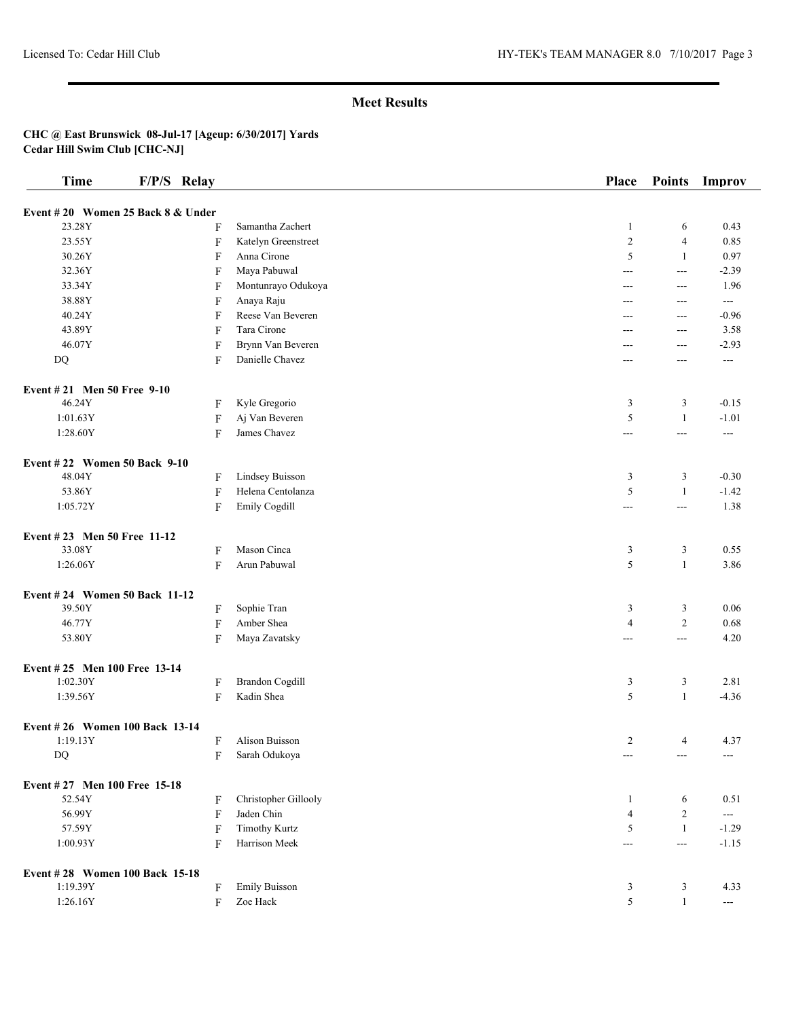| Time                              | F/P/S Relay               |                        | <b>Place</b>         | <b>Points</b>       | Improv               |
|-----------------------------------|---------------------------|------------------------|----------------------|---------------------|----------------------|
| Event #20 Women 25 Back 8 & Under |                           |                        |                      |                     |                      |
| 23.28Y                            | F                         | Samantha Zachert       | $\mathbf{1}$         | 6                   | 0.43                 |
| 23.55Y                            | F                         | Katelyn Greenstreet    | $\overline{2}$       | $\overline{4}$      | 0.85                 |
| 30.26Y                            | F                         | Anna Cirone            | 5                    | $\mathbf{1}$        | 0.97                 |
| 32.36Y                            | F                         | Maya Pabuwal           | $---$                | $--$                | $-2.39$              |
| 33.34Y                            | F                         | Montunrayo Odukoya     | ---                  | ---                 | 1.96                 |
| 38.88Y                            | F                         | Anaya Raju             | ---                  | ---                 | $\qquad \qquad -$    |
| 40.24Y                            | F                         | Reese Van Beveren      | ---                  | $---$               | $-0.96$              |
| 43.89Y                            | F                         | Tara Cirone            | ---                  | ---                 | 3.58                 |
| 46.07Y                            | F                         | Brynn Van Beveren      | ---                  | $---$               | $-2.93$              |
| $\rm DQ$                          | F                         | Danielle Chavez        | $---$                | ---                 | $---$                |
|                                   |                           |                        |                      |                     |                      |
| Event #21 Men 50 Free 9-10        |                           |                        |                      |                     |                      |
| 46.24Y                            | F                         | Kyle Gregorio          | 3                    | 3                   | $-0.15$              |
| 1:01.63Y                          | F                         | Aj Van Beveren         | 5                    | $\mathbf{1}$        | $-1.01$              |
| 1:28.60Y                          | F                         | James Chavez           | $---$                | $---$               | ---                  |
| Event #22 Women 50 Back 9-10      |                           |                        |                      |                     |                      |
| 48.04Y                            | F                         | Lindsey Buisson        | 3                    | 3                   | $-0.30$              |
| 53.86Y                            | $\boldsymbol{\mathrm{F}}$ | Helena Centolanza      | 5                    | $\mathbf{1}$        | $-1.42$              |
| 1:05.72Y                          | $\boldsymbol{\mathrm{F}}$ | Emily Cogdill          | ---                  | $\overline{a}$      | 1.38                 |
|                                   |                           |                        |                      |                     |                      |
| Event #23 Men 50 Free 11-12       |                           |                        |                      |                     |                      |
| 33.08Y                            | F                         | Mason Cinca            | 3                    | 3                   | 0.55                 |
| 1:26.06Y                          | F                         | Arun Pabuwal           | 5                    | $\mathbf{1}$        | 3.86                 |
| Event #24 Women 50 Back 11-12     |                           |                        |                      |                     |                      |
| 39.50Y                            | F                         | Sophie Tran            | 3                    | 3                   | 0.06                 |
| 46.77Y                            | $\overline{F}$            | Amber Shea             | $\overline{4}$       | $\overline{2}$      | 0.68                 |
| 53.80Y                            | F                         | Maya Zavatsky          | ---                  | $\overline{a}$      | 4.20                 |
| Event #25 Men 100 Free 13-14      |                           |                        |                      |                     |                      |
| 1:02.30Y                          | F                         | <b>Brandon Cogdill</b> | 3                    | 3                   | 2.81                 |
| 1:39.56Y                          | F                         | Kadin Shea             | 5                    | $\mathbf{1}$        | $-4.36$              |
|                                   |                           |                        |                      |                     |                      |
| Event #26 Women 100 Back 13-14    |                           |                        |                      |                     |                      |
| 1:19.13Y                          | F                         | Alison Buisson         | $\overline{2}$       | $\overline{4}$      | 4.37                 |
| DQ                                | F                         | Sarah Odukoya          | $\scriptstyle\cdots$ | $---$               | $\scriptstyle\cdots$ |
| Event #27 Men 100 Free 15-18      |                           |                        |                      |                     |                      |
| 52.54Y                            | F                         | Christopher Gillooly   | $\mathbf{1}$         | 6                   | 0.51                 |
| 56.99Y                            | $\overline{F}$            | Jaden Chin             | $\overline{4}$       | $\overline{2}$      | $-$                  |
| 57.59Y                            | F                         | <b>Timothy Kurtz</b>   | $\sqrt{5}$           | -1                  | $-1.29$              |
| 1:00.93Y                          | F                         | Harrison Meek          | ---                  | $\qquad \qquad - -$ | $-1.15$              |
| Event #28 Women 100 Back 15-18    |                           |                        |                      |                     |                      |
| 1:19.39Y                          | F                         | <b>Emily Buisson</b>   | 3                    | 3                   | 4.33                 |
| 1:26.16Y                          | F                         | Zoe Hack               | $\sqrt{5}$           | $\mathbf{1}$        | $\scriptstyle\cdots$ |
|                                   |                           |                        |                      |                     |                      |